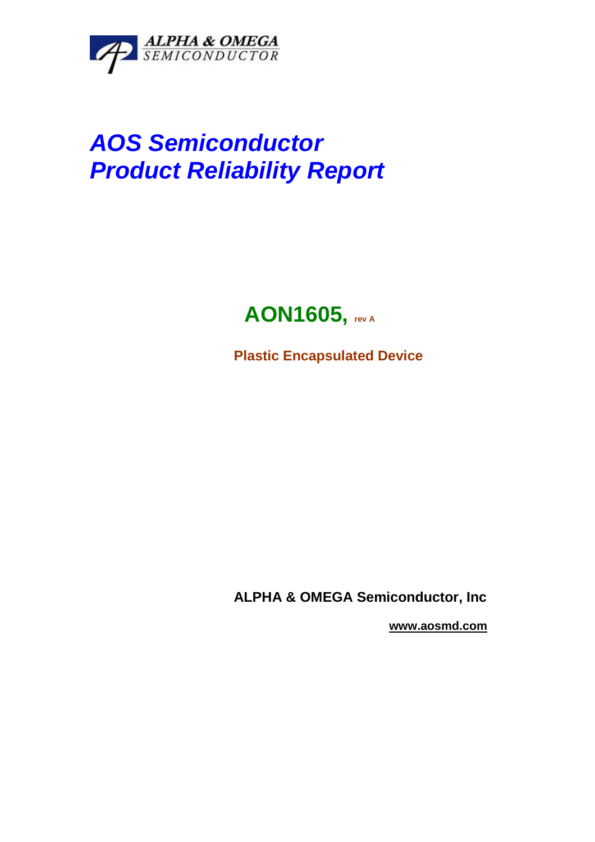

# **AOS Semiconductor Product Reliability Report**

# **AON1605, rev A**

**Plastic Encapsulated Device** 

**ALPHA & OMEGA Semiconductor, Inc** 

 **www.aosmd.com**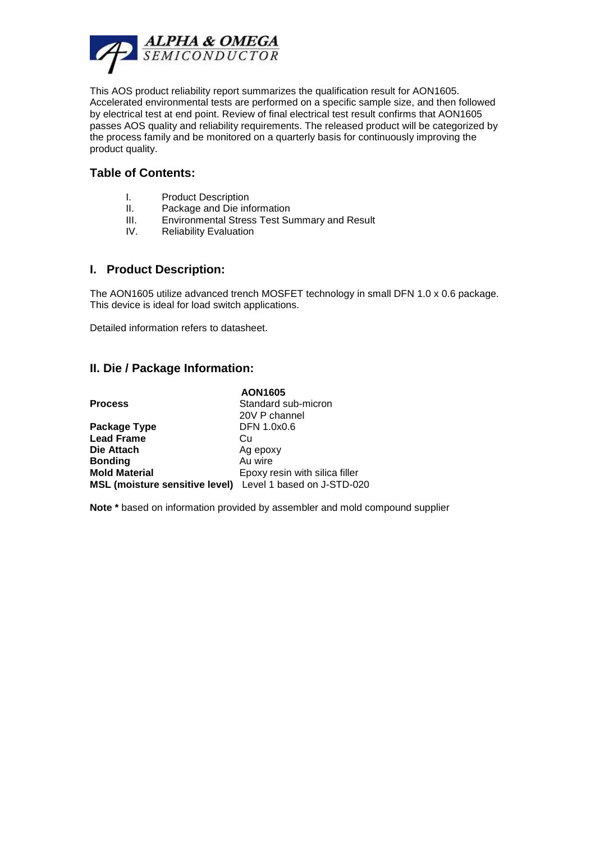

This AOS product reliability report summarizes the qualification result for AON1605. Accelerated environmental tests are performed on a specific sample size, and then followed by electrical test at end point. Review of final electrical test result confirms that AON1605 passes AOS quality and reliability requirements. The released product will be categorized by the process family and be monitored on a quarterly basis for continuously improving the product quality.

#### **Table of Contents:**

- I. Product Description
- II. Package and Die information
- III. Environmental Stress Test Summary and Result
- IV. Reliability Evaluation

#### **I. Product Description:**

The AON1605 utilize advanced trench MOSFET technology in small DFN 1.0 x 0.6 package. This device is ideal for load switch applications.

Detailed information refers to datasheet.

#### **II. Die / Package Information:**

|                                                           | <b>AON1605</b>                 |  |  |
|-----------------------------------------------------------|--------------------------------|--|--|
| <b>Process</b>                                            | Standard sub-micron            |  |  |
|                                                           | 20V P channel                  |  |  |
| Package Type                                              | DFN 1.0x0.6                    |  |  |
| <b>Lead Frame</b>                                         | Cu                             |  |  |
| Die Attach                                                | Ag epoxy                       |  |  |
| <b>Bonding</b>                                            | Au wire                        |  |  |
| <b>Mold Material</b>                                      | Epoxy resin with silica filler |  |  |
| MSL (moisture sensitive level) Level 1 based on J-STD-020 |                                |  |  |

**Note \*** based on information provided by assembler and mold compound supplier